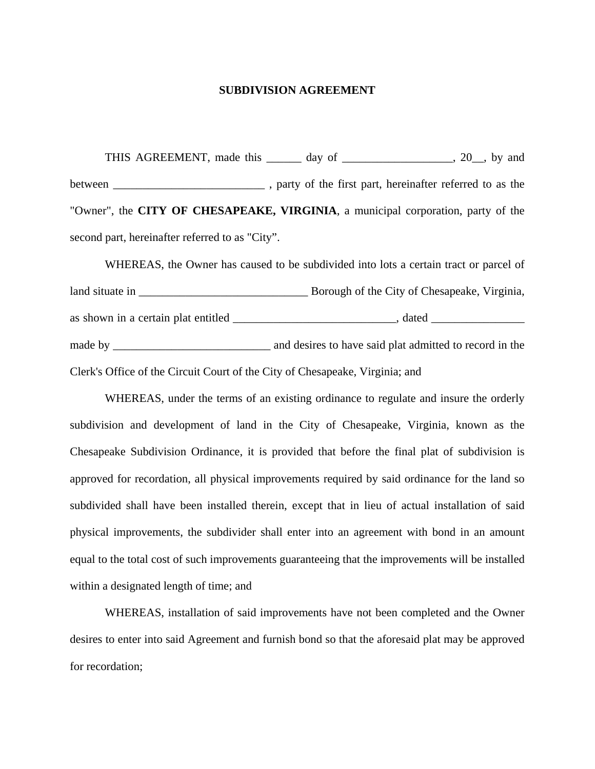#### **SUBDIVISION AGREEMENT**

THIS AGREEMENT, made this \_\_\_\_\_\_\_ day of \_\_\_\_\_\_\_\_\_\_\_\_\_\_\_\_\_\_, 20\_\_, by and between \_\_\_\_\_\_\_\_\_\_\_\_\_\_\_\_\_\_\_\_\_\_\_\_\_\_\_\_\_\_\_, party of the first part, hereinafter referred to as the "Owner", the **CITY OF CHESAPEAKE, VIRGINIA**, a municipal corporation, party of the second part, hereinafter referred to as "City".

 WHEREAS, the Owner has caused to be subdivided into lots a certain tract or parcel of land situate in  $\Box$  Borough of the City of Chesapeake, Virginia, as shown in a certain plat entitled \_\_\_\_\_\_\_\_\_\_\_\_\_\_\_\_\_\_\_\_\_\_\_\_\_\_\_\_, dated \_\_\_\_\_\_\_\_\_\_\_\_\_\_\_\_ made by \_\_\_\_\_\_\_\_\_\_\_\_\_\_\_\_\_\_\_\_\_\_\_\_\_\_\_ and desires to have said plat admitted to record in the Clerk's Office of the Circuit Court of the City of Chesapeake, Virginia; and

 WHEREAS, under the terms of an existing ordinance to regulate and insure the orderly subdivision and development of land in the City of Chesapeake, Virginia, known as the Chesapeake Subdivision Ordinance, it is provided that before the final plat of subdivision is approved for recordation, all physical improvements required by said ordinance for the land so subdivided shall have been installed therein, except that in lieu of actual installation of said physical improvements, the subdivider shall enter into an agreement with bond in an amount equal to the total cost of such improvements guaranteeing that the improvements will be installed within a designated length of time; and

 WHEREAS, installation of said improvements have not been completed and the Owner desires to enter into said Agreement and furnish bond so that the aforesaid plat may be approved for recordation;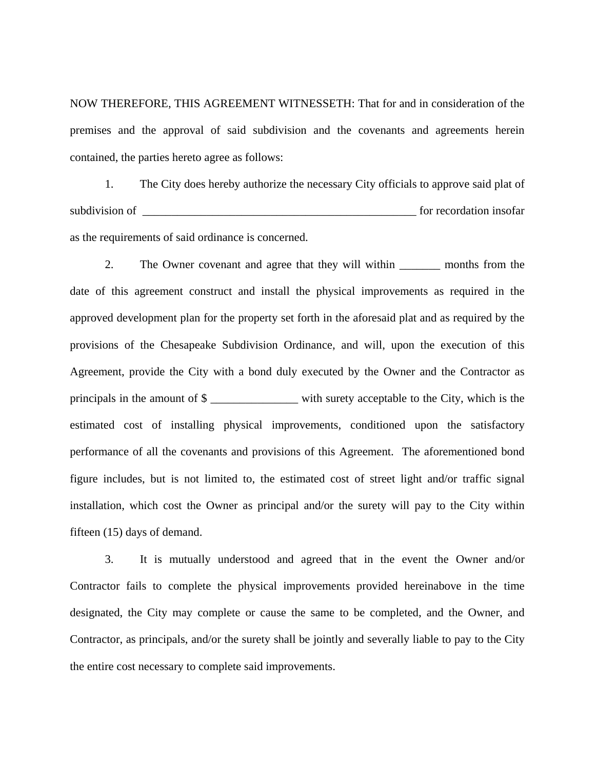NOW THEREFORE, THIS AGREEMENT WITNESSETH: That for and in consideration of the premises and the approval of said subdivision and the covenants and agreements herein contained, the parties hereto agree as follows:

 1. The City does hereby authorize the necessary City officials to approve said plat of subdivision of \_\_\_\_\_\_\_\_\_\_\_\_\_\_\_\_\_\_\_\_\_\_\_\_\_\_\_\_\_\_\_\_\_\_\_\_\_\_\_\_\_\_\_\_\_\_\_ for recordation insofar as the requirements of said ordinance is concerned.

2. The Owner covenant and agree that they will within \_\_\_\_\_\_\_\_ months from the date of this agreement construct and install the physical improvements as required in the approved development plan for the property set forth in the aforesaid plat and as required by the provisions of the Chesapeake Subdivision Ordinance, and will, upon the execution of this Agreement, provide the City with a bond duly executed by the Owner and the Contractor as principals in the amount of  $\frac{1}{2}$  with surety acceptable to the City, which is the estimated cost of installing physical improvements, conditioned upon the satisfactory performance of all the covenants and provisions of this Agreement. The aforementioned bond figure includes, but is not limited to, the estimated cost of street light and/or traffic signal installation, which cost the Owner as principal and/or the surety will pay to the City within fifteen (15) days of demand.

 3. It is mutually understood and agreed that in the event the Owner and/or Contractor fails to complete the physical improvements provided hereinabove in the time designated, the City may complete or cause the same to be completed, and the Owner, and Contractor, as principals, and/or the surety shall be jointly and severally liable to pay to the City the entire cost necessary to complete said improvements.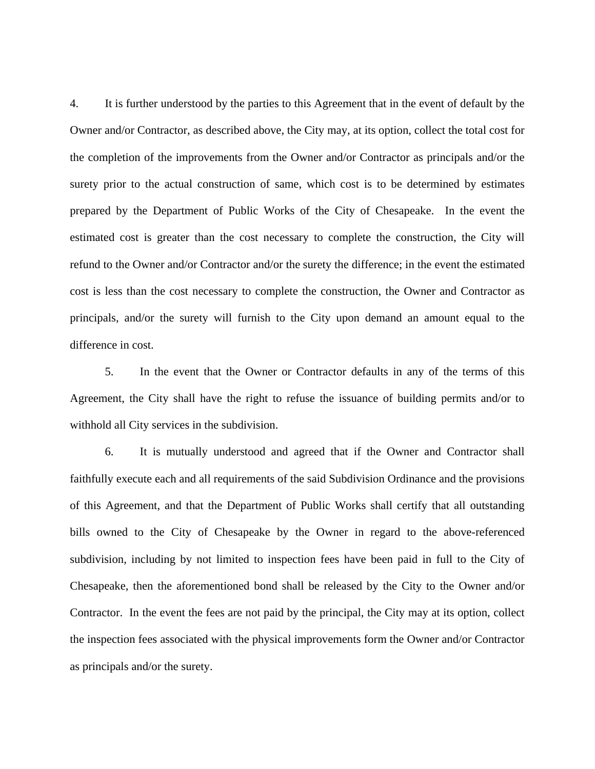4. It is further understood by the parties to this Agreement that in the event of default by the Owner and/or Contractor, as described above, the City may, at its option, collect the total cost for the completion of the improvements from the Owner and/or Contractor as principals and/or the surety prior to the actual construction of same, which cost is to be determined by estimates prepared by the Department of Public Works of the City of Chesapeake. In the event the estimated cost is greater than the cost necessary to complete the construction, the City will refund to the Owner and/or Contractor and/or the surety the difference; in the event the estimated cost is less than the cost necessary to complete the construction, the Owner and Contractor as principals, and/or the surety will furnish to the City upon demand an amount equal to the difference in cost.

 5. In the event that the Owner or Contractor defaults in any of the terms of this Agreement, the City shall have the right to refuse the issuance of building permits and/or to withhold all City services in the subdivision.

 6. It is mutually understood and agreed that if the Owner and Contractor shall faithfully execute each and all requirements of the said Subdivision Ordinance and the provisions of this Agreement, and that the Department of Public Works shall certify that all outstanding bills owned to the City of Chesapeake by the Owner in regard to the above-referenced subdivision, including by not limited to inspection fees have been paid in full to the City of Chesapeake, then the aforementioned bond shall be released by the City to the Owner and/or Contractor. In the event the fees are not paid by the principal, the City may at its option, collect the inspection fees associated with the physical improvements form the Owner and/or Contractor as principals and/or the surety.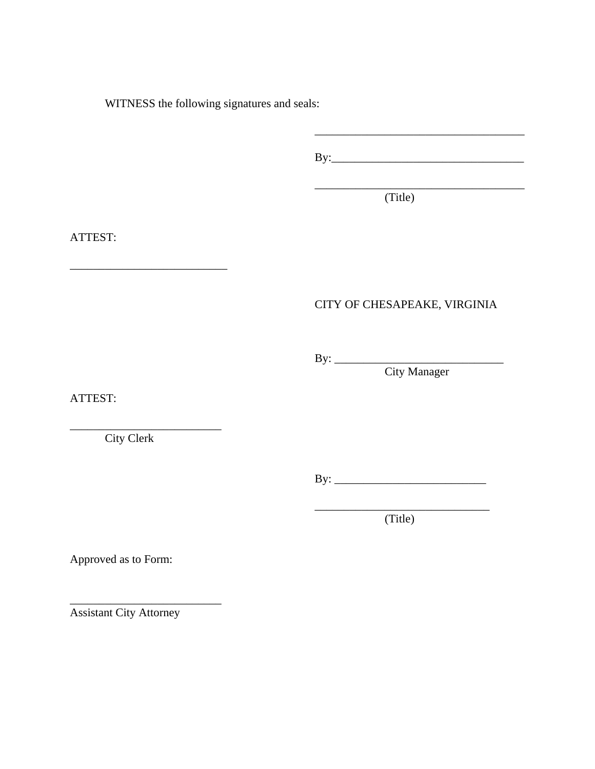WITNESS the following signatures and seals:

By:\_\_\_\_\_\_\_\_\_\_\_\_\_\_\_\_\_\_\_\_\_\_\_\_\_\_\_\_\_\_\_\_\_

 $(Title)$ (Title)

# ATTEST:

### CITY OF CHESAPEAKE, VIRGINIA

By: \_\_\_\_\_\_\_\_\_\_\_\_\_\_\_\_\_\_\_\_\_\_\_\_\_\_\_\_\_

City Manager

ATTEST:

City Clerk

 $\overline{\phantom{a}}$  , where  $\overline{\phantom{a}}$ 

\_\_\_\_\_\_\_\_\_\_\_\_\_\_\_\_\_\_\_\_\_\_\_\_\_\_\_

By: \_\_\_\_\_\_\_\_\_\_\_\_\_\_\_\_\_\_\_\_\_\_\_\_\_\_

(Title)

\_\_\_\_\_\_\_\_\_\_\_\_\_\_\_\_\_\_\_\_\_\_\_\_\_\_\_\_\_\_

Approved as to Form:

Assistant City Attorney

\_\_\_\_\_\_\_\_\_\_\_\_\_\_\_\_\_\_\_\_\_\_\_\_\_\_